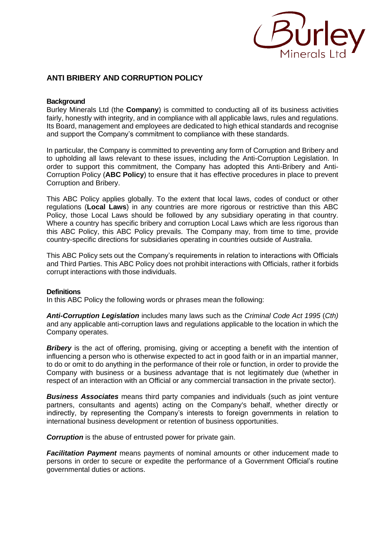

# **ANTI BRIBERY AND CORRUPTION POLICY**

# **Background**

Burley Minerals Ltd (the **Company**) is committed to conducting all of its business activities fairly, honestly with integrity, and in compliance with all applicable laws, rules and regulations. Its Board, management and employees are dedicated to high ethical standards and recognise and support the Company's commitment to compliance with these standards.

In particular, the Company is committed to preventing any form of Corruption and Bribery and to upholding all laws relevant to these issues, including the Anti-Corruption Legislation. In order to support this commitment, the Company has adopted this Anti-Bribery and Anti-Corruption Policy (**ABC Policy**) to ensure that it has effective procedures in place to prevent Corruption and Bribery.

This ABC Policy applies globally. To the extent that local laws, codes of conduct or other regulations (**Local Laws**) in any countries are more rigorous or restrictive than this ABC Policy, those Local Laws should be followed by any subsidiary operating in that country. Where a country has specific bribery and corruption Local Laws which are less rigorous than this ABC Policy, this ABC Policy prevails. The Company may, from time to time, provide country-specific directions for subsidiaries operating in countries outside of Australia.

This ABC Policy sets out the Company's requirements in relation to interactions with Officials and Third Parties. This ABC Policy does not prohibit interactions with Officials, rather it forbids corrupt interactions with those individuals.

## **Definitions**

In this ABC Policy the following words or phrases mean the following:

*Anti-Corruption Legislation* includes many laws such as the *Criminal Code Act 1995* (*Cth)*  and any applicable anti-corruption laws and regulations applicable to the location in which the Company operates.

**Bribery** is the act of offering, promising, giving or accepting a benefit with the intention of influencing a person who is otherwise expected to act in good faith or in an impartial manner, to do or omit to do anything in the performance of their role or function, in order to provide the Company with business or a business advantage that is not legitimately due (whether in respect of an interaction with an Official or any commercial transaction in the private sector).

*Business Associates* means third party companies and individuals (such as joint venture partners, consultants and agents) acting on the Company's behalf, whether directly or indirectly, by representing the Company's interests to foreign governments in relation to international business development or retention of business opportunities.

*Corruption* is the abuse of entrusted power for private gain.

*Facilitation Payment* means payments of nominal amounts or other inducement made to persons in order to secure or expedite the performance of a Government Official's routine governmental duties or actions.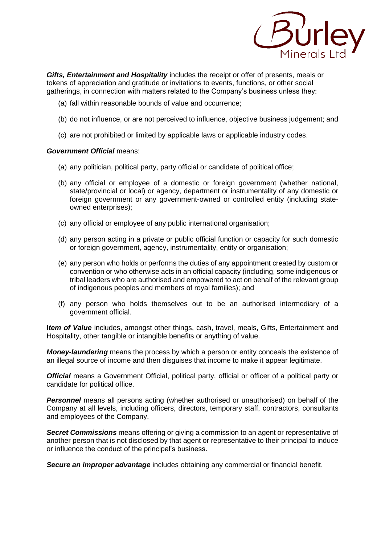

*Gifts, Entertainment and Hospitality* includes the receipt or offer of presents, meals or tokens of appreciation and gratitude or invitations to events, functions, or other social gatherings, in connection with matters related to the Company's business unless they:

- (a) fall within reasonable bounds of value and occurrence;
- (b) do not influence, or are not perceived to influence, objective business judgement; and
- (c) are not prohibited or limited by applicable laws or applicable industry codes.

# *Government Official* means:

- (a) any politician, political party, party official or candidate of political office;
- (b) any official or employee of a domestic or foreign government (whether national, state/provincial or local) or agency, department or instrumentality of any domestic or foreign government or any government-owned or controlled entity (including stateowned enterprises);
- (c) any official or employee of any public international organisation;
- (d) any person acting in a private or public official function or capacity for such domestic or foreign government, agency, instrumentality, entity or organisation;
- (e) any person who holds or performs the duties of any appointment created by custom or convention or who otherwise acts in an official capacity (including, some indigenous or tribal leaders who are authorised and empowered to act on behalf of the relevant group of indigenous peoples and members of royal families); and
- (f) any person who holds themselves out to be an authorised intermediary of a government official.

**I***tem of Value* includes, amongst other things, cash, travel, meals, Gifts, Entertainment and Hospitality, other tangible or intangible benefits or anything of value.

*Money-laundering* means the process by which a person or entity conceals the existence of an illegal source of income and then disguises that income to make it appear legitimate.

*Official* means a Government Official, political party, official or officer of a political party or candidate for political office.

**Personnel** means all persons acting (whether authorised or unauthorised) on behalf of the Company at all levels, including officers, directors, temporary staff, contractors, consultants and employees of the Company.

*Secret Commissions* means offering or giving a commission to an agent or representative of another person that is not disclosed by that agent or representative to their principal to induce or influence the conduct of the principal's business.

*Secure an improper advantage* includes obtaining any commercial or financial benefit.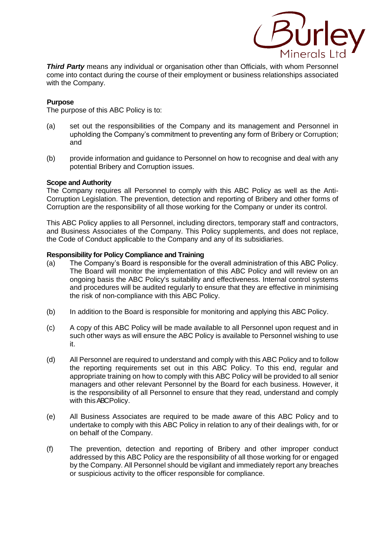

*Third Party* means any individual or organisation other than Officials, with whom Personnel come into contact during the course of their employment or business relationships associated with the Company.

# **Purpose**

The purpose of this ABC Policy is to:

- (a) set out the responsibilities of the Company and its management and Personnel in upholding the Company's commitment to preventing any form of Bribery or Corruption; and
- (b) provide information and guidance to Personnel on how to recognise and deal with any potential Bribery and Corruption issues.

#### **Scope and Authority**

The Company requires all Personnel to comply with this ABC Policy as well as the Anti-Corruption Legislation. The prevention, detection and reporting of Bribery and other forms of Corruption are the responsibility of all those working for the Company or under its control.

This ABC Policy applies to all Personnel, including directors, temporary staff and contractors, and Business Associates of the Company. This Policy supplements, and does not replace, the Code of Conduct applicable to the Company and any of its subsidiaries.

#### **Responsibility for Policy Compliance and Training**

- (a) The Company's Board is responsible for the overall administration of this ABC Policy. The Board will monitor the implementation of this ABC Policy and will review on an ongoing basis the ABC Policy's suitability and effectiveness. Internal control systems and procedures will be audited regularly to ensure that they are effective in minimising the risk of non-compliance with this ABC Policy.
- (b) In addition to the Board is responsible for monitoring and applying this ABC Policy.
- (c) A copy of this ABC Policy will be made available to all Personnel upon request and in such other ways as will ensure the ABC Policy is available to Personnel wishing to use it.
- (d) All Personnel are required to understand and comply with this ABC Policy and to follow the reporting requirements set out in this ABC Policy. To this end, regular and appropriate training on how to comply with this ABC Policy will be provided to all senior managers and other relevant Personnel by the Board for each business. However, it is the responsibility of all Personnel to ensure that they read, understand and comply with this ABC Policy.
- (e) All Business Associates are required to be made aware of this ABC Policy and to undertake to comply with this ABC Policy in relation to any of their dealings with, for or on behalf of the Company.
- (f) The prevention, detection and reporting of Bribery and other improper conduct addressed by this ABC Policy are the responsibility of all those working for or engaged by the Company. All Personnel should be vigilant and immediately report any breaches or suspicious activity to the officer responsible for compliance.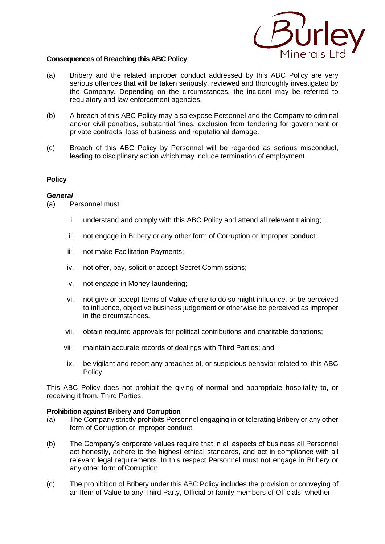

## **Consequences of Breaching this ABC Policy**

- (a) Bribery and the related improper conduct addressed by this ABC Policy are very serious offences that will be taken seriously, reviewed and thoroughly investigated by the Company. Depending on the circumstances, the incident may be referred to regulatory and law enforcement agencies.
- (b) A breach of this ABC Policy may also expose Personnel and the Company to criminal and/or civil penalties, substantial fines, exclusion from tendering for government or private contracts, loss of business and reputational damage.
- (c) Breach of this ABC Policy by Personnel will be regarded as serious misconduct, leading to disciplinary action which may include termination of employment.

# **Policy**

## *General*

(a) Personnel must:

- i. understand and comply with this ABC Policy and attend all relevant training;
- ii. not engage in Bribery or any other form of Corruption or improper conduct;
- iii. not make Facilitation Payments;
- iv. not offer, pay, solicit or accept Secret Commissions;
- v. not engage in Money-laundering;
- vi. not give or accept Items of Value where to do so might influence, or be perceived to influence, objective business judgement or otherwise be perceived as improper in the circumstances.
- vii. obtain required approvals for political contributions and charitable donations;
- viii. maintain accurate records of dealings with Third Parties; and
- ix. be vigilant and report any breaches of, or suspicious behavior related to, this ABC Policy.

This ABC Policy does not prohibit the giving of normal and appropriate hospitality to, or receiving it from, Third Parties.

## **Prohibition against Bribery and Corruption**

- (a) The Company strictly prohibits Personnel engaging in or tolerating Bribery or any other form of Corruption or improper conduct.
- (b) The Company's corporate values require that in all aspects of business all Personnel act honestly, adhere to the highest ethical standards, and act in compliance with all relevant legal requirements. In this respect Personnel must not engage in Bribery or any other form of Corruption.
- (c) The prohibition of Bribery under this ABC Policy includes the provision or conveying of an Item of Value to any Third Party, Official or family members of Officials, whether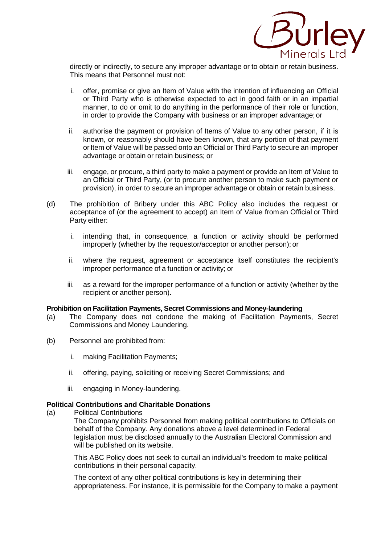

directly or indirectly, to secure any improper advantage or to obtain or retain business. This means that Personnel must not:

- i. offer, promise or give an Item of Value with the intention of influencing an Official or Third Party who is otherwise expected to act in good faith or in an impartial manner, to do or omit to do anything in the performance of their role or function, in order to provide the Company with business or an improper advantage;or
- ii. authorise the payment or provision of Items of Value to any other person, if it is known, or reasonably should have been known, that any portion of that payment or Item of Value will be passed onto an Official or Third Party to secure an improper advantage or obtain or retain business; or
- iii. engage, or procure, a third party to make a payment or provide an Item of Value to an Official or Third Party, (or to procure another person to make such payment or provision), in order to secure an improper advantage or obtain or retain business.
- (d) The prohibition of Bribery under this ABC Policy also includes the request or acceptance of (or the agreement to accept) an Item of Value from an Official or Third Party either:
	- i. intending that, in consequence, a function or activity should be performed improperly (whether by the requestor/acceptor or another person); or
	- ii. where the request, agreement or acceptance itself constitutes the recipient's improper performance of a function or activity; or
	- iii. as a reward for the improper performance of a function or activity (whether by the recipient or another person).

# **Prohibition on Facilitation Payments, Secret Commissions and Money-laundering**

- (a) The Company does not condone the making of Facilitation Payments, Secret Commissions and Money Laundering.
- (b) Personnel are prohibited from:
	- i. making Facilitation Payments;
	- ii. offering, paying, soliciting or receiving Secret Commissions; and
	- iii. engaging in Money-laundering.

## **Political Contributions and Charitable Donations**

(a) Political Contributions

The Company prohibits Personnel from making political contributions to Officials on behalf of the Company. Any donations above a level determined in Federal legislation must be disclosed annually to the Australian Electoral Commission and will be published on its website.

This ABC Policy does not seek to curtail an individual's freedom to make political contributions in their personal capacity.

The context of any other political contributions is key in determining their appropriateness. For instance, it is permissible for the Company to make a payment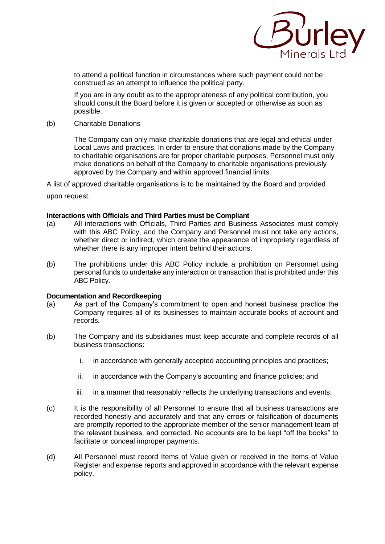

to attend a political function in circumstances where such payment could not be construed as an attempt to influence the political party.

If you are in any doubt as to the appropriateness of any political contribution, you should consult the Board before it is given or accepted or otherwise as soon as possible.

(b) Charitable Donations

The Company can only make charitable donations that are legal and ethical under Local Laws and practices. In order to ensure that donations made by the Company to charitable organisations are for proper charitable purposes, Personnel must only make donations on behalf of the Company to charitable organisations previously approved by the Company and within approved financial limits.

A list of approved charitable organisations is to be maintained by the Board and provided upon request.

#### **Interactions with Officials and Third Parties must be Compliant**

- (a) All interactions with Officials, Third Parties and Business Associates must comply with this ABC Policy, and the Company and Personnel must not take any actions, whether direct or indirect, which create the appearance of impropriety regardless of whether there is any improper intent behind their actions.
- (b) The prohibitions under this ABC Policy include a prohibition on Personnel using personal funds to undertake any interaction or transaction that is prohibited under this ABC Policy.

#### **Documentation and Recordkeeping**

- (a) As part of the Company's commitment to open and honest business practice the Company requires all of its businesses to maintain accurate books of account and records.
- (b) The Company and its subsidiaries must keep accurate and complete records of all business transactions:
	- i. in accordance with generally accepted accounting principles and practices;
	- ii. in accordance with the Company's accounting and finance policies; and
	- iii. in a manner that reasonably reflects the underlying transactions and events.
- (c) It is the responsibility of all Personnel to ensure that all business transactions are recorded honestly and accurately and that any errors or falsification of documents are promptly reported to the appropriate member of the senior management team of the relevant business, and corrected. No accounts are to be kept "off the books" to facilitate or conceal improper payments.
- (d) All Personnel must record Items of Value given or received in the Items of Value Register and expense reports and approved in accordance with the relevant expense policy.